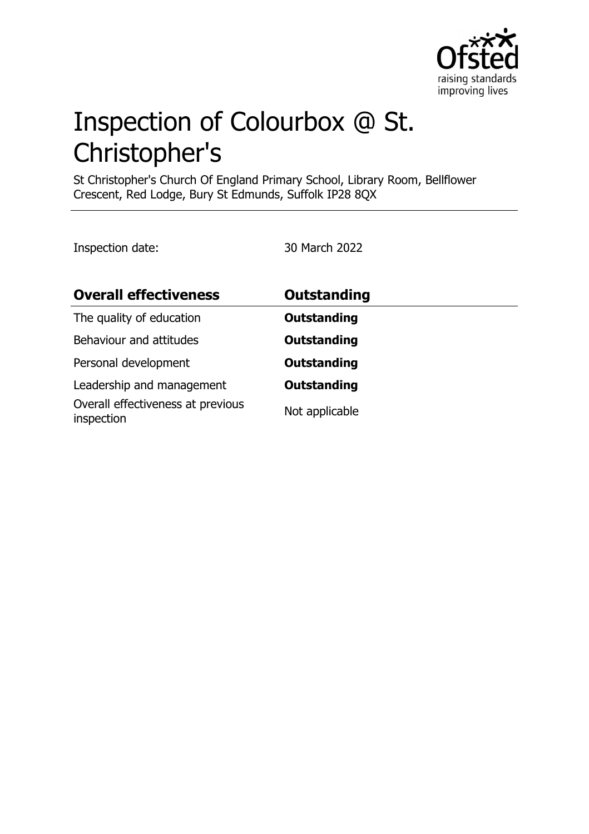

# Inspection of Colourbox @ St. Christopher's

St Christopher's Church Of England Primary School, Library Room, Bellflower Crescent, Red Lodge, Bury St Edmunds, Suffolk IP28 8QX

Inspection date: 30 March 2022

| <b>Overall effectiveness</b>                    | <b>Outstanding</b> |
|-------------------------------------------------|--------------------|
| The quality of education                        | <b>Outstanding</b> |
| Behaviour and attitudes                         | <b>Outstanding</b> |
| Personal development                            | <b>Outstanding</b> |
| Leadership and management                       | <b>Outstanding</b> |
| Overall effectiveness at previous<br>inspection | Not applicable     |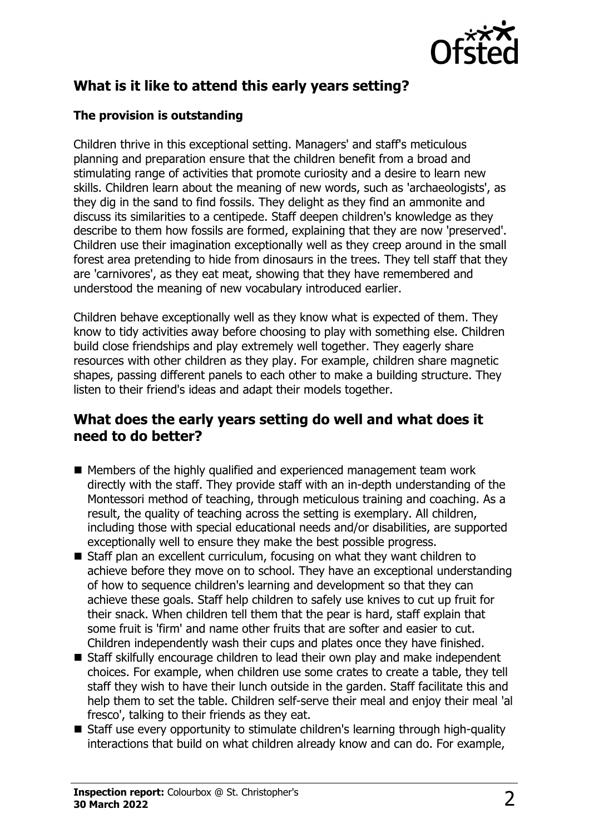

# **What is it like to attend this early years setting?**

#### **The provision is outstanding**

Children thrive in this exceptional setting. Managers' and staff's meticulous planning and preparation ensure that the children benefit from a broad and stimulating range of activities that promote curiosity and a desire to learn new skills. Children learn about the meaning of new words, such as 'archaeologists', as they dig in the sand to find fossils. They delight as they find an ammonite and discuss its similarities to a centipede. Staff deepen children's knowledge as they describe to them how fossils are formed, explaining that they are now 'preserved'. Children use their imagination exceptionally well as they creep around in the small forest area pretending to hide from dinosaurs in the trees. They tell staff that they are 'carnivores', as they eat meat, showing that they have remembered and understood the meaning of new vocabulary introduced earlier.

Children behave exceptionally well as they know what is expected of them. They know to tidy activities away before choosing to play with something else. Children build close friendships and play extremely well together. They eagerly share resources with other children as they play. For example, children share magnetic shapes, passing different panels to each other to make a building structure. They listen to their friend's ideas and adapt their models together.

### **What does the early years setting do well and what does it need to do better?**

- $\blacksquare$  Members of the highly qualified and experienced management team work directly with the staff. They provide staff with an in-depth understanding of the Montessori method of teaching, through meticulous training and coaching. As a result, the quality of teaching across the setting is exemplary. All children, including those with special educational needs and/or disabilities, are supported exceptionally well to ensure they make the best possible progress.
- Staff plan an excellent curriculum, focusing on what they want children to achieve before they move on to school. They have an exceptional understanding of how to sequence children's learning and development so that they can achieve these goals. Staff help children to safely use knives to cut up fruit for their snack. When children tell them that the pear is hard, staff explain that some fruit is 'firm' and name other fruits that are softer and easier to cut. Children independently wash their cups and plates once they have finished.
- Staff skilfully encourage children to lead their own play and make independent choices. For example, when children use some crates to create a table, they tell staff they wish to have their lunch outside in the garden. Staff facilitate this and help them to set the table. Children self-serve their meal and enjoy their meal 'al fresco', talking to their friends as they eat.
- Staff use every opportunity to stimulate children's learning through high-quality interactions that build on what children already know and can do. For example,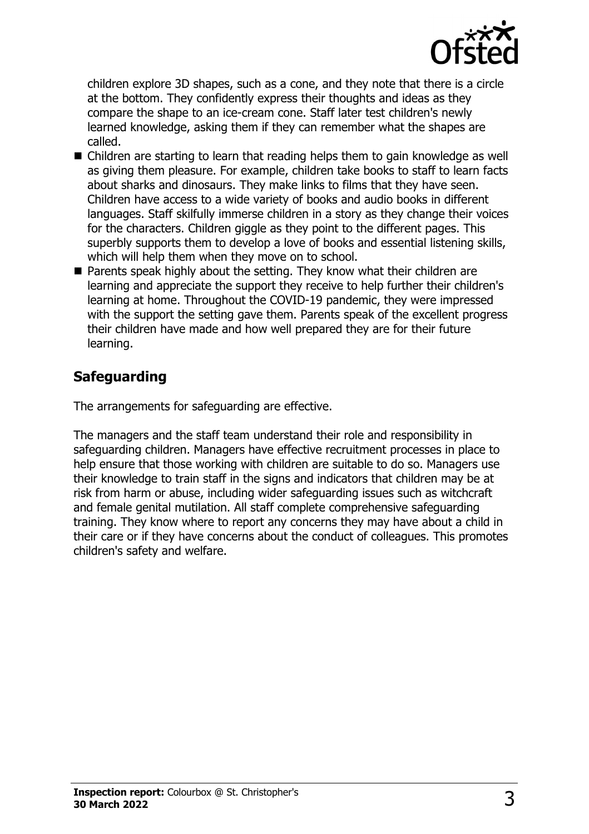

children explore 3D shapes, such as a cone, and they note that there is a circle at the bottom. They confidently express their thoughts and ideas as they compare the shape to an ice-cream cone. Staff later test children's newly learned knowledge, asking them if they can remember what the shapes are called.

- $\blacksquare$  Children are starting to learn that reading helps them to gain knowledge as well as giving them pleasure. For example, children take books to staff to learn facts about sharks and dinosaurs. They make links to films that they have seen. Children have access to a wide variety of books and audio books in different languages. Staff skilfully immerse children in a story as they change their voices for the characters. Children giggle as they point to the different pages. This superbly supports them to develop a love of books and essential listening skills, which will help them when they move on to school.
- $\blacksquare$  Parents speak highly about the setting. They know what their children are learning and appreciate the support they receive to help further their children's learning at home. Throughout the COVID-19 pandemic, they were impressed with the support the setting gave them. Parents speak of the excellent progress their children have made and how well prepared they are for their future learning.

## **Safeguarding**

The arrangements for safeguarding are effective.

The managers and the staff team understand their role and responsibility in safeguarding children. Managers have effective recruitment processes in place to help ensure that those working with children are suitable to do so. Managers use their knowledge to train staff in the signs and indicators that children may be at risk from harm or abuse, including wider safeguarding issues such as witchcraft and female genital mutilation. All staff complete comprehensive safeguarding training. They know where to report any concerns they may have about a child in their care or if they have concerns about the conduct of colleagues. This promotes children's safety and welfare.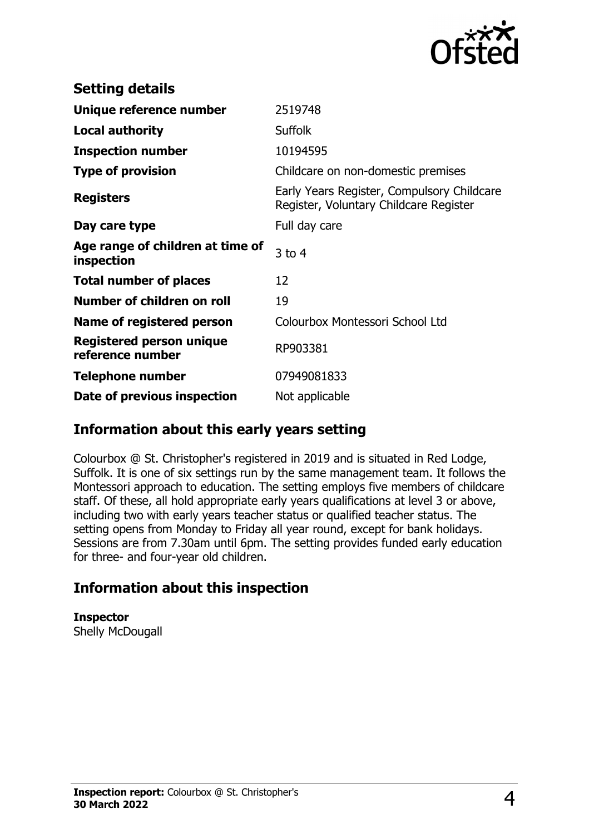

| <b>Setting details</b>                         |                                                                                      |
|------------------------------------------------|--------------------------------------------------------------------------------------|
| Unique reference number                        | 2519748                                                                              |
| <b>Local authority</b>                         | <b>Suffolk</b>                                                                       |
| <b>Inspection number</b>                       | 10194595                                                                             |
| <b>Type of provision</b>                       | Childcare on non-domestic premises                                                   |
| <b>Registers</b>                               | Early Years Register, Compulsory Childcare<br>Register, Voluntary Childcare Register |
| Day care type                                  | Full day care                                                                        |
| Age range of children at time of<br>inspection | $3$ to 4                                                                             |
| <b>Total number of places</b>                  | 12                                                                                   |
| Number of children on roll                     | 19                                                                                   |
| Name of registered person                      | Colourbox Montessori School Ltd                                                      |
| Registered person unique<br>reference number   | RP903381                                                                             |
| <b>Telephone number</b>                        | 07949081833                                                                          |
| Date of previous inspection                    | Not applicable                                                                       |

## **Information about this early years setting**

Colourbox @ St. Christopher's registered in 2019 and is situated in Red Lodge, Suffolk. It is one of six settings run by the same management team. It follows the Montessori approach to education. The setting employs five members of childcare staff. Of these, all hold appropriate early years qualifications at level 3 or above, including two with early years teacher status or qualified teacher status. The setting opens from Monday to Friday all year round, except for bank holidays. Sessions are from 7.30am until 6pm. The setting provides funded early education for three- and four-year old children.

## **Information about this inspection**

**Inspector** Shelly McDougall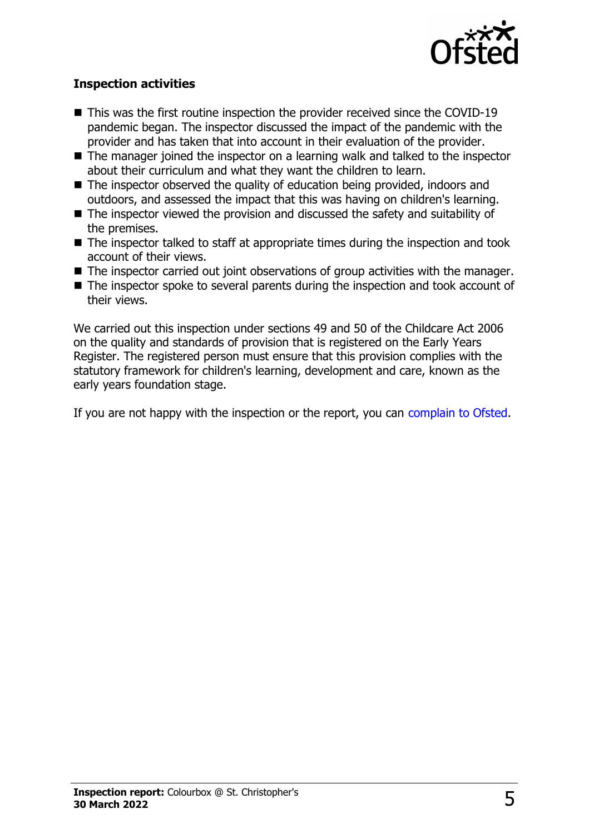

#### **Inspection activities**

- $\blacksquare$  This was the first routine inspection the provider received since the COVID-19 pandemic began. The inspector discussed the impact of the pandemic with the provider and has taken that into account in their evaluation of the provider.
- $\blacksquare$  The manager joined the inspector on a learning walk and talked to the inspector about their curriculum and what they want the children to learn.
- $\blacksquare$  The inspector observed the quality of education being provided, indoors and outdoors, and assessed the impact that this was having on children's learning.
- $\blacksquare$  The inspector viewed the provision and discussed the safety and suitability of the premises.
- $\blacksquare$  The inspector talked to staff at appropriate times during the inspection and took account of their views.
- $\blacksquare$  The inspector carried out joint observations of group activities with the manager.
- $\blacksquare$  The inspector spoke to several parents during the inspection and took account of their views.

We carried out this inspection under sections 49 and 50 of the Childcare Act 2006 on the quality and standards of provision that is registered on the Early Years Register. The registered person must ensure that this provision complies with the statutory framework for children's learning, development and care, known as the early years foundation stage.

If you are not happy with the inspection or the report, you can [complain to Ofsted](http://www.gov.uk/complain-ofsted-report).